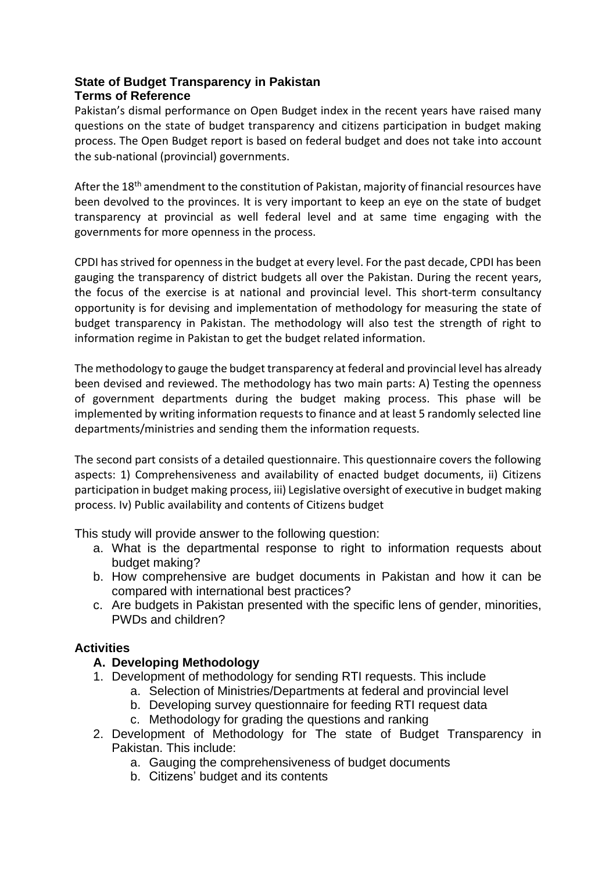# **State of Budget Transparency in Pakistan Terms of Reference**

Pakistan's dismal performance on Open Budget index in the recent years have raised many questions on the state of budget transparency and citizens participation in budget making process. The Open Budget report is based on federal budget and does not take into account the sub-national (provincial) governments.

After the 18<sup>th</sup> amendment to the constitution of Pakistan, majority of financial resources have been devolved to the provinces. It is very important to keep an eye on the state of budget transparency at provincial as well federal level and at same time engaging with the governments for more openness in the process.

CPDI has strived for openness in the budget at every level. For the past decade, CPDI has been gauging the transparency of district budgets all over the Pakistan. During the recent years, the focus of the exercise is at national and provincial level. This short-term consultancy opportunity is for devising and implementation of methodology for measuring the state of budget transparency in Pakistan. The methodology will also test the strength of right to information regime in Pakistan to get the budget related information.

The methodology to gauge the budget transparency at federal and provincial level has already been devised and reviewed. The methodology has two main parts: A) Testing the openness of government departments during the budget making process. This phase will be implemented by writing information requests to finance and at least 5 randomly selected line departments/ministries and sending them the information requests.

The second part consists of a detailed questionnaire. This questionnaire covers the following aspects: 1) Comprehensiveness and availability of enacted budget documents, ii) Citizens participation in budget making process, iii) Legislative oversight of executive in budget making process. Iv) Public availability and contents of Citizens budget

This study will provide answer to the following question:

- a. What is the departmental response to right to information requests about budget making?
- b. How comprehensive are budget documents in Pakistan and how it can be compared with international best practices?
- c. Are budgets in Pakistan presented with the specific lens of gender, minorities, PWDs and children?

# **Activities**

# **A. Developing Methodology**

- 1. Development of methodology for sending RTI requests. This include
	- a. Selection of Ministries/Departments at federal and provincial level
	- b. Developing survey questionnaire for feeding RTI request data
	- c. Methodology for grading the questions and ranking
- 2. Development of Methodology for The state of Budget Transparency in Pakistan. This include:
	- a. Gauging the comprehensiveness of budget documents
	- b. Citizens' budget and its contents